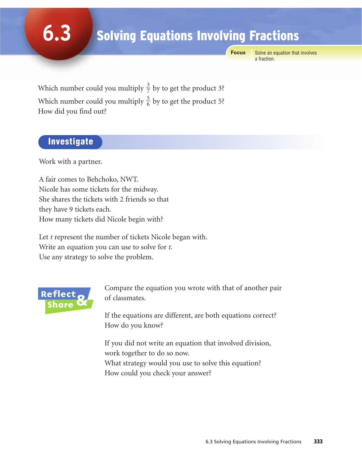# Solving Equations Involving Fractions

**Focus**

Solve an equation that involves a fraction.

Which number could you multiply  $\frac{3}{7}$  by to get the product 3? Which number could you multiply  $\frac{5}{6}$  by to get the product 5? How did you find out? 6 7

### Investigate

**6.3**

Work with a partner.

A fair comes to Behchoko, NWT. Nicole has some tickets for the midway. She shares the tickets with 2 friends so that they have 9 tickets each. How many tickets did Nicole begin with?

Let *t* represent the number of tickets Nicole began with. Write an equation you can use to solve for *t*. Use any strategy to solve the problem.



Compare the equation you wrote with that of another pair of classmates.

If the equations are different, are both equations correct? How do you know?

If you did not write an equation that involved division, work together to do so now. What strategy would you use to solve this equation?

How could you check your answer?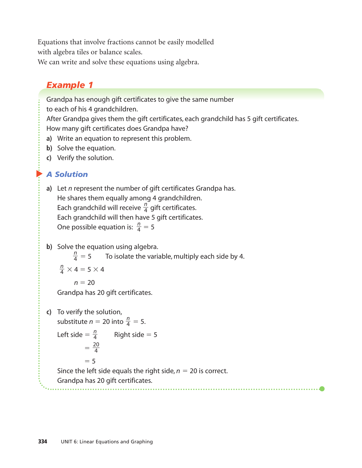Equations that involve fractions cannot be easily modelled with algebra tiles or balance scales.

We can write and solve these equations using algebra.

## *Example 1*

Grandpa has enough gift certificates to give the same number

to each of his 4 grandchildren.

After Grandpa gives them the gift certificates, each grandchild has 5 gift certificates. How many gift certificates does Grandpa have?

- **a)** Write an equation to represent this problem.
- **b)** Solve the equation.
- **c)** Verify the solution.

#### $\blacktriangleright$ *A Solution*

- **a)** Let *n* represent the number of gift certificates Grandpa has. He shares them equally among 4 grandchildren. Each grandchild will receive  $\frac{n}{4}$  gift certificates. Each grandchild will then have 5 gift certificates. One possible equation is:  $\frac{n}{4} = 5$ 4 4
- **b)** Solve the equation using algebra.

 $\frac{n}{4}$  = 5 To isolate the variable, multiply each side by 4. 4

 $\frac{n}{4} \times 4 = 5 \times 4$ 4

 $n = 20$ 

Grandpa has 20 gift certificates.

**c)** To verify the solution,

```
substitute n = 20 into \frac{n}{4} = 5.
                   4
```
Right side  $= 5$ *n* 4

$$
=\frac{20}{4}
$$

 $= 5$ 

Since the left side equals the right side,  $n = 20$  is correct.

Grandpa has 20 gift certificates.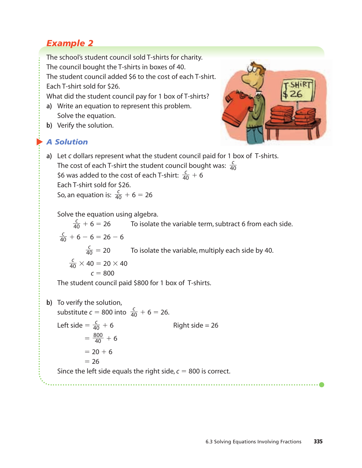## *Example 2*

The school's student council sold T-shirts for charity. The council bought the T-shirts in boxes of 40. The student council added \$6 to the cost of each T-shirt. Each T-shirt sold for \$26.

What did the student council pay for 1 box of T-shirts?

- **a)** Write an equation to represent this problem. Solve the equation.
- **b)** Verify the solution.

#### $\blacktriangleright$ *A Solution*



**a)** Let *c* dollars represent what the student council paid for 1 box of T-shirts. The cost of each T-shirt the student council bought was:  $\frac{c}{40}$  $\frac{c}{6}$  was added to the cost of each T-shirt:  $\frac{c}{40}$  + 6 Each T-shirt sold for \$26. So, an equation is:  $\frac{c}{40} + 6 = 26$ 40 40 40

Solve the equation using algebra.

 $\frac{c}{40}$  + 6 = 26 To isolate the variable term, subtract 6 from each side.  $\frac{c}{40} + 6 - 6 = 26 - 6$  $\frac{c}{40}$  = 20 To isolate the variable, multiply each side by 40.  $\frac{c}{40}$  × 40 = 20 × 40 40 40 40 40

 $c = 800$ 

The student council paid \$800 for 1 box of T-shirts.

**b)** To verify the solution, substitute  $c = 800$  into  $\frac{c}{40} + 6 = 26$ . Left side  $=$   $\frac{c}{40}$  + Right side  $= 26$  $=\frac{800}{40}+6$  $= 20 + 6$  $= 26$ Since the left side equals the right side,  $c = 800$  is correct. 40 40 40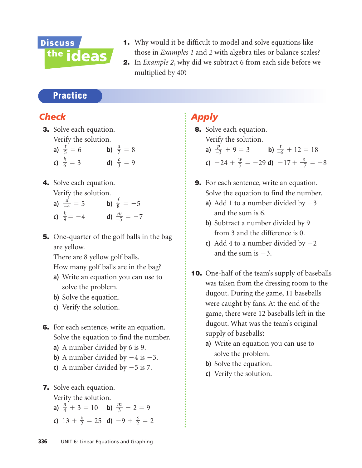

- 1. Why would it be difficult to model and solve equations like those in *Examples 1* and *2* with algebra tiles or balance scales?
- 2. In *Example 2*, why did we subtract 6 from each side before we multiplied by 40?

### **Practice**

### *Check*

- 3. Solve each equation. Verify the solution.
	- **a)**  $\frac{t}{5} = 6$  **b)**  $\frac{a}{7} = 8$ **c)**  $\frac{b}{6} = 3$  **d)**  $\frac{c}{3} = 9$ 3 *b* 6 *a* 7 *t* 5
- 4. Solve each equation.
	- Verify the solution.
	- **a)**  $\frac{d}{-4} = 5$  **b)**  $\frac{f}{8} = -5$ **c)**  $\frac{k}{9} = -4$  **d)**  $\frac{m}{-5} = -7$ –5 *k* 9 8 *d* –4
- 5. One-quarter of the golf balls in the bag are yellow.

There are 8 yellow golf balls.

How many golf balls are in the bag?

- **a)** Write an equation you can use to solve the problem.
- **b**) Solve the equation.
- **c)** Verify the solution.
- 6. For each sentence, write an equation. Solve the equation to find the number.
	- **a)** A number divided by 6 is 9.
	- **b)** A number divided by  $-4$  is  $-3$ .
	- **c**) A number divided by  $-5$  is 7.
- 7. Solve each equation.

Verify the solution.

- **a)**  $\frac{n}{4} + 3 = 10$  **b)**  $\frac{m}{3} 2 = 9$ 3 *n* 4
- **c)**  $13 + \frac{x}{2} = 25$  **d)**  $-9 + \frac{s}{2} = 2$ 2 *x* 2

### *Apply*

- 8. Solve each equation. Verify the solution.
	- **a**)  $\frac{p}{-3} + 9 = 3$  **b**)  $\frac{t}{-6} + 12 = 18$ –6 *p* –3

c) 
$$
-24 + \frac{w}{5} = -29
$$
 d)  $-17 + \frac{e}{-7} = -8$ 

- 9. For each sentence, write an equation. Solve the equation to find the number. **a)** Add 1 to a number divided by  $-3$ 
	- and the sum is 6.
	- **b)** Subtract a number divided by 9 from 3 and the difference is 0.
	- **c**) Add 4 to a number divided by  $-2$ and the sum is  $-3$ .
- **10.** One-half of the team's supply of baseballs was taken from the dressing room to the dugout. During the game, 11 baseballs were caught by fans. At the end of the game, there were 12 baseballs left in the dugout. What was the team's original supply of baseballs?
	- **a)** Write an equation you can use to solve the problem.
	- **b)** Solve the equation.
	- **c)** Verify the solution.